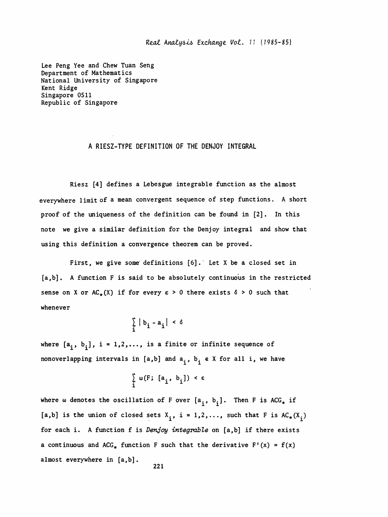Real Analysis Exchange Vol. 11 (1985-85)

 Lee Peng Yee and Chew Tuan Seng Department of Mathematics National University of Singapore Kent Ridge Singapore 0511 Republic of Singapore

## A RIESZ-TYPE DEFINITION OF THE DENJOY INTEGRAL

 Riesz [4] defines a Lebesgue integrable function as the almost everywhere limit of a mean convergent sequence of step functions. A short proof of the uniqueness of the definition can be found in [2]. In this note we give a similar definition for the Denjoy integral and show that using this definition a convergence theorem can be proved.

First, we give some definitions [6]. Let X be a closed set in [a,b]. A function F is said to be absolutely continuous in the restricted sense on X or AC<sub>\*</sub>(X) if for every  $\epsilon > 0$  there exists  $\delta > 0$  such that whenever

$$
\sum_{i} |b_{i} - a_{i}| < \delta
$$

where  $[a_i, b_i]$ , i = 1,2,..., is a finite or infinite sequence of nonoverlapping intervals in [a,b] and  $a^i$ ,  $b^i$  e X for all i, we have

$$
\sum_{i} \omega(F; [a_i, b_i]) < \varepsilon
$$

where  $\omega$  denotes the oscillation of F over  $[a_i, b_i]$ . Then F is ACG<sub>\*</sub> if  $[a,b]$  is the union of closed sets  $X_i$ ,  $i = 1,2,...$ , such that F is AC<sub>\*</sub>(X<sub>i</sub>) where  $\omega$  denotes the oscillation of F over  $[a_i, b_i]$ . Then F is ACG<sub>\*</sub> if  $[a,b]$  is the union of closed sets  $X_i$ ,  $i = 1,2,...$ , such that F is  $AC_*(X_i)$ <br>for each i. A function f is *Denjoy integrable* on  $[a,b]$  if there exist for each i. A function f is Denjoy integrable on [a,b] if there exists a continuous and ACG<sub>\*</sub> function F such that the derivative F'(x) = f(x) almost everywhere in [a,b] .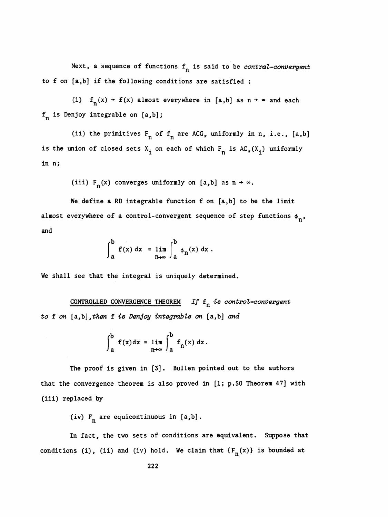Next, a sequence of functions  $f_n$  is said to be *contral-convergent* to f on [a,b] if the following conditions are satisfied :

(i)  $f_n(x) \rightarrow f(x)$  almost everywhere in [a,b] as  $n \rightarrow \infty$  and each  $f_n$  is Denjoy integrable on  $[a,b]$ ;

(ii) the primitives  $F_n$  of  $f_n$  are ACG<sub>\*</sub> uniformly in n, i.e., [a,b] is the union of closed sets  $X_i$  on each of which  $F_n$  is  $AC_*(X_i)$  uniformly in n;

(iii)  $F_n(x)$  converges uniformly on [a,b] as  $n \rightarrow \infty$ .

 We define a RD integrable function f on [a,b] to be the limit almost everywhere of a control-convergent sequence of step functions  $\phi_n$ , and

$$
\int_{a}^{b} f(x) dx = \lim_{n \to \infty} \int_{a}^{b} \phi_{n}(x) dx.
$$

We shall see that the integral is uniquely determined.

CONTROLLED CONVERGENCE THEOREM If  $f_n$  is control-convergent to  $f$  on  $[a,b]$ , then  $f$  is Denjoy integrable on  $[a,b]$  and

$$
\int_{a}^{b} f(x) dx = \lim_{n \to \infty} \int_{a}^{b} f_{n}(x) dx.
$$

The proof is given in [3]. Bullen pointed out to the authors that the convergence theorem is also proved in [1; p. 50 Theorem 47] with (iii) replaced by

(iv)  $F_n$  are equicontinuous in [a,b].

 In fact, the two sets of conditions are equivalent. Suppose that conditions (i), (ii) and (iv) hold. We claim that  $\{F_n(x)\}$  is bounded at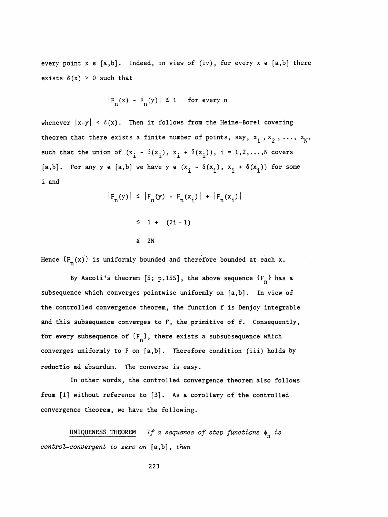every point  $x \in [a,b]$ . Indeed, in view of (iv), for every  $x \in [a,b]$  there exists  $\delta(x) > 0$  such that

$$
|F_n(x) - F_n(y)| \le 1 \quad \text{for every } n
$$

whenever  $|x-y| < \delta(x)$ . Then it follows from the Heine-Borel covering theorem that there exists a finite number of points, say,  $x_1, x_2, ..., x_N$ , such that the union of  $(x_i - \delta(x_i), x_i + \delta(x_i))$ , i = 1,2,...,N covers [a,b]. For any y e [a,b] we have y e  $(x_i - \delta(x_i) , x_i + \delta(x_i))$  for some i and

$$
|F_n(y)| \le |F_n(y) - F_n(x_i)| + |F_n(x_i)|
$$
  

$$
\le 1 + (2i - 1)
$$

 $\leq$  2N

Hence  $\{F_{n}(x)\}$  is uniformly bounded and therefore bounded at each x.

By Ascoli's theorem [5; p.155], the above sequence  ${F_n}$  has a subsequence which converges pointwise uniformly on [a,b] . In view of the controlled convergence theorem, the function f is Denjoy integrable and this subsequence converges to F, the primitive of f. Consequently, for every subsequence of  ${F_n}$ , there exists a subsubsequence which converges uniformly to F on [a,b] . Therefore condition (iii) holds by reductio ad absurdum. The converse is easy.

 In other words, the controlled convergence theorem also follows from [1] without reference to [3]. As a corollary of the controlled convergence theorem, we have the following.

UNIQUENESS THEOREM If a sequence of step functions  $\phi_n$  is control-convergent to zero on [a,b], then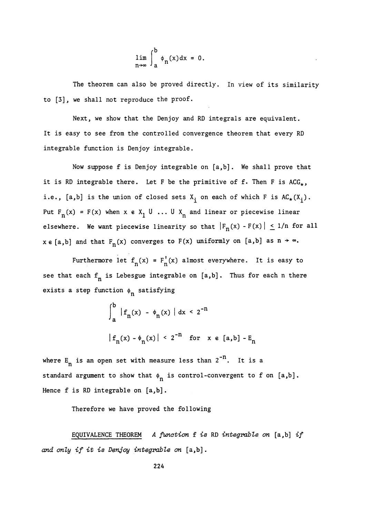$$
\lim_{n\to\infty}\int_a^b\phi_n(x)dx=0.
$$

 The theorem can also be proved directly. In view of its similarity to [3], we shall not reproduce the proof.

 Next, we show that the Denjoy and RD integrals are equivalent. It is easy to see from the controlled convergence theorem that every RD integrable function is Denjoy integrable.

 Now suppose f is Denjoy integrable on [a,b] . We shall prove that it is RD integrable there. Let F be the primitive of f. Then F is  $ACG_{*}$ , i.e., [a,b] is the union of closed sets  $X_i$  on each of which F is  $AC_*(X_i)$ . Put  $F_n(x) = F(x)$  when  $x \in X_1 \cup ... \cup X_n$  and linear or piecewise linear elsewhere. We want piecewise linearity so that  $|F_n(x) - F(x)| \le 1/n$  for all it is RD integrable there. Let F be the primitive of f. Then F is  $AC_x$ ,<br>i.e., [a,b] is the union of closed sets  $X_i$  on each of which F is  $AC_x(X_i)$ .<br>Put  $F_n(x) = F(x)$  when  $x \in X_1 \cup ... \cup X_n$  and linear or piecewise linear<br>elsewh i.e., [a,b] is the union of closed sets  $X_i$  on each of which F is  $AC_*(X_i)$ .<br>Put  $F_n(x) = F(x)$  when  $x \in X_1 \cup ... \cup X_n$  and linear or piecewise linear<br>elsewhere. We want piecewise linearity so that  $|F_n(x) - F(x)| \le 1/n$  for all<br> $x \in [$ but is the union of closed sets  $X_i$  on each of which F is  $AC_x(X_i)$ .<br>  $) = F(x)$  when  $x \in X_1 \cup ... \cup X_n$  and linear or piecewise linear<br>
e. We want piecewise linearity so that  $|F_n(x) - F(x)| \le 1/n$  for all<br>
and that  $F_n(x)$  converges

see that each  $f_n$  is Lebesgue integrable on  $[a,b]$ . Thus for each n there exists a step function  $\phi_n$  satisfying

$$
\int_{a}^{b} |f_{n}(x) - \phi_{n}(x)| dx < 2^{-n}
$$
  

$$
|f_{n}(x) - \phi_{n}(x)| < 2^{-n}
$$
 for  $x \in [a, b] - E_{n}$ 

where  $E_n$  is an open set with measure less than  $2^{-n}$ . It is a standard argument to show that  $\phi_n$  is control-convergent to f on [a,b]. Hence f is RD integrable on [a,b] .

Therefore we have proved the following

EQUIVALENCE THEOREM A function  $f$  is RD integrable on  $[a, b]$  if and only if it is Denjoy integrable on [a,b] .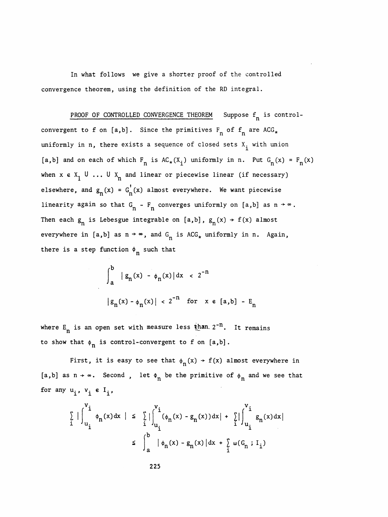In what follows we give a shorter proof of the controlled convergence theorem, using the definition of the RD integral.

PROOF OF CONTROLLED CONVERGENCE THEOREM Suppose  $f_n$  is controlconvergent to f on [a,b]. Since the primitives  $F_n$  of  $f_n$  are ACG<sub>\*</sub> uniformly in n, there exists a sequence of closed sets  $X_i$  with union [a,b] and on each of which  $F_n$  is  $AC_*(X_i)$  uniformly in n. Put  $G_n(x) = F_n(x)$ when  $x \in X_1 \cup ... \cup X_n$  and linear or piecewise linear (if necessary) elsewhere, and  $g_n(x) = G_n'(x)$  almost everywhere. We want piecewise linearity again so that  $G_n - F_n$  converges uniformly on [a,b] as  $n \rightarrow \infty$ . Then each  $g_n$  is Lebesgue integrable on [a,b],  $g_n(x) \rightarrow f(x)$  almost everywhere in [a,b] as  $n \rightarrow \infty$ , and  $G_n$  is ACG<sub>\*</sub> uniformly in n. Again, there is a step function  $\phi_n$  such that

$$
\int_{a}^{b} |g_{n}(x) - \phi_{n}(x)| dx < 2^{-n}
$$
  
\n
$$
|g_{n}(x) - \phi_{n}(x)| < 2^{-n} \text{ for } x \in [a,b] - E_{n}
$$

where  $E_n$  is an open set with measure less than  $2^{-n}$ . It remains to show that  $\phi_n$  is control-convergent to f on [a,b].

First, it is easy to see that  $\phi_n(x)$  + f(x) almost everywhere in [a,b] as  $n \to \infty$ . Second, let  $\Phi_n$  be the primitive of  $\phi_n$  and we see that for any  $u_i$ ,  $v_i \in I_i$ ,

$$
\sum_{i=1}^{n} \left| \int_{u_{i}}^{v_{i}} \phi_{n}(x) dx \right| \leq \sum_{i=1}^{n} \left| \int_{u_{i}}^{v_{i}} (\phi_{n}(x) - g_{n}(x)) dx \right| + \sum_{i=1}^{n} \left| \int_{u_{i}}^{v_{i}} g_{n}(x) dx \right|
$$
\n
$$
\leq \int_{a}^{b} \left| \phi_{n}(x) - g_{n}(x) \right| dx + \sum_{i=1}^{n} \omega(G_{n} ; I_{i})
$$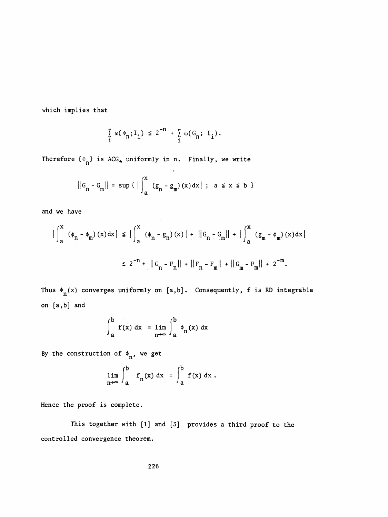which implies that

$$
\sum_{i} \omega(\Phi_n; I_i) \leq 2^{-n} + \sum_{i} \omega(G_n; I_i).
$$

Therefore  $\{\Phi_n\}$  is ACG<sub>\*</sub> uniformly in n. Finally, we write

$$
||G_n - G_m|| = \sup \{ | \int_a^x (g_n - g_m)(x) dx | ; a \le x \le b \}
$$

and we have

$$
\left| \int_{a}^{x} (\phi_{n} - \phi_{m}) (x) dx \right| \leq \left| \int_{a}^{x} (\phi_{n} - g_{n}) (x) \right| + \left| |G_{n} - G_{m}| \right| + \left| \int_{a}^{x} (g_{m} - \phi_{m}) (x) dx \right|
$$
  

$$
\leq 2^{-n} + \left| |G_{n} - F_{n}| \right| + \left| |F_{n} - F_{m}| \right| + \left| |G_{m} - F_{m}| \right| + 2^{-m}.
$$

Thus  $\Phi_n(x)$  converges uniformly on [a,b]. Consequently, f is RD integrable on [a,b] and

$$
\int_{a}^{b} f(x) dx = \lim_{n \to \infty} \int_{a}^{b} \phi_{n}(x) dx
$$

By the construction of 
$$
\phi_n
$$
, we get  
\n
$$
\lim_{n \to \infty} \int_{a}^{b} f_n(x) dx = \int_{a}^{b} f(x) dx.
$$

Hence the proof is complete.

 This together with [1] and [3] provides a third proof to the controlled convergence theorem.